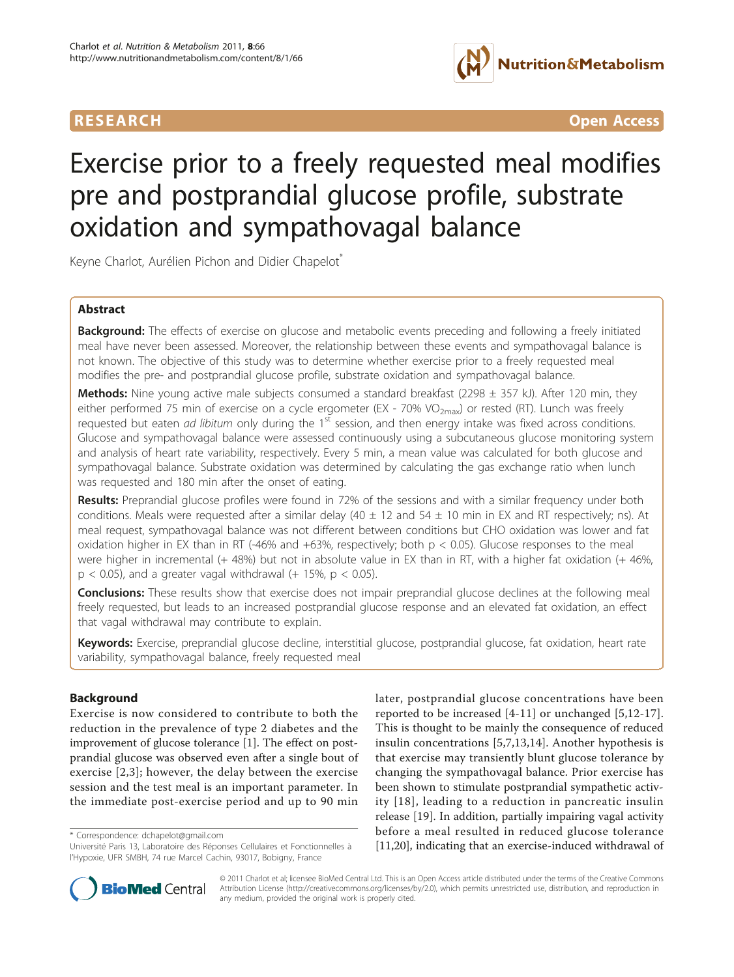

**RESEARCH CONTROL** CONTROL CONTROL CONTROL CONTROL CONTROL CONTROL CONTROL CONTROL CONTROL CONTROL CONTROL CONTROL CONTROL CONTROL CONTROL CONTROL CONTROL CONTROL CONTROL CONTROL CONTROL CONTROL CONTROL CONTROL CONTROL CON

# Exercise prior to a freely requested meal modifies pre and postprandial glucose profile, substrate oxidation and sympathovagal balance

Keyne Charlot, Aurélien Pichon and Didier Chapelot\*

# Abstract

Background: The effects of exercise on glucose and metabolic events preceding and following a freely initiated meal have never been assessed. Moreover, the relationship between these events and sympathovagal balance is not known. The objective of this study was to determine whether exercise prior to a freely requested meal modifies the pre- and postprandial glucose profile, substrate oxidation and sympathovagal balance.

Methods: Nine young active male subjects consumed a standard breakfast (2298 ± 357 kJ). After 120 min, they either performed 75 min of exercise on a cycle ergometer (EX - 70% VO<sub>2max</sub>) or rested (RT). Lunch was freely requested but eaten *ad libitum* only during the  $1<sup>st</sup>$  session, and then energy intake was fixed across conditions. Glucose and sympathovagal balance were assessed continuously using a subcutaneous glucose monitoring system and analysis of heart rate variability, respectively. Every 5 min, a mean value was calculated for both glucose and sympathovagal balance. Substrate oxidation was determined by calculating the gas exchange ratio when lunch was requested and 180 min after the onset of eating.

Results: Preprandial glucose profiles were found in 72% of the sessions and with a similar frequency under both conditions. Meals were requested after a similar delay (40  $\pm$  12 and 54  $\pm$  10 min in EX and RT respectively; ns). At meal request, sympathovagal balance was not different between conditions but CHO oxidation was lower and fat oxidation higher in EX than in RT (-46% and +63%, respectively; both  $p < 0.05$ ). Glucose responses to the meal were higher in incremental (+ 48%) but not in absolute value in EX than in RT, with a higher fat oxidation (+ 46%,  $p < 0.05$ ), and a greater vagal withdrawal (+ 15%,  $p < 0.05$ ).

**Conclusions:** These results show that exercise does not impair preprandial glucose declines at the following meal freely requested, but leads to an increased postprandial glucose response and an elevated fat oxidation, an effect that vagal withdrawal may contribute to explain.

Keywords: Exercise, preprandial glucose decline, interstitial glucose, postprandial glucose, fat oxidation, heart rate variability, sympathovagal balance, freely requested meal

# Background

Exercise is now considered to contribute to both the reduction in the prevalence of type 2 diabetes and the improvement of glucose tolerance [\[1](#page-9-0)]. The effect on postprandial glucose was observed even after a single bout of exercise [\[2](#page-9-0),[3\]](#page-9-0); however, the delay between the exercise session and the test meal is an important parameter. In the immediate post-exercise period and up to 90 min

\* Correspondence: [dchapelot@gmail.com](mailto:dchapelot@gmail.com)

later, postprandial glucose concentrations have been reported to be increased [\[4](#page-9-0)-[11](#page-9-0)] or unchanged [[5,12](#page-9-0)-[17](#page-9-0)]. This is thought to be mainly the consequence of reduced insulin concentrations [\[5,7](#page-9-0),[13,14\]](#page-9-0). Another hypothesis is that exercise may transiently blunt glucose tolerance by changing the sympathovagal balance. Prior exercise has been shown to stimulate postprandial sympathetic activity [[18\]](#page-9-0), leading to a reduction in pancreatic insulin release [[19](#page-9-0)]. In addition, partially impairing vagal activity before a meal resulted in reduced glucose tolerance [[11,20\]](#page-9-0), indicating that an exercise-induced withdrawal of



© 2011 Charlot et al; licensee BioMed Central Ltd. This is an Open Access article distributed under the terms of the Creative Commons Attribution License [\(http://creativecommons.org/licenses/by/2.0](http://creativecommons.org/licenses/by/2.0)), which permits unrestricted use, distribution, and reproduction in any medium, provided the original work is properly cited.

Université Paris 13, Laboratoire des Réponses Cellulaires et Fonctionnelles à l'Hypoxie, UFR SMBH, 74 rue Marcel Cachin, 93017, Bobigny, France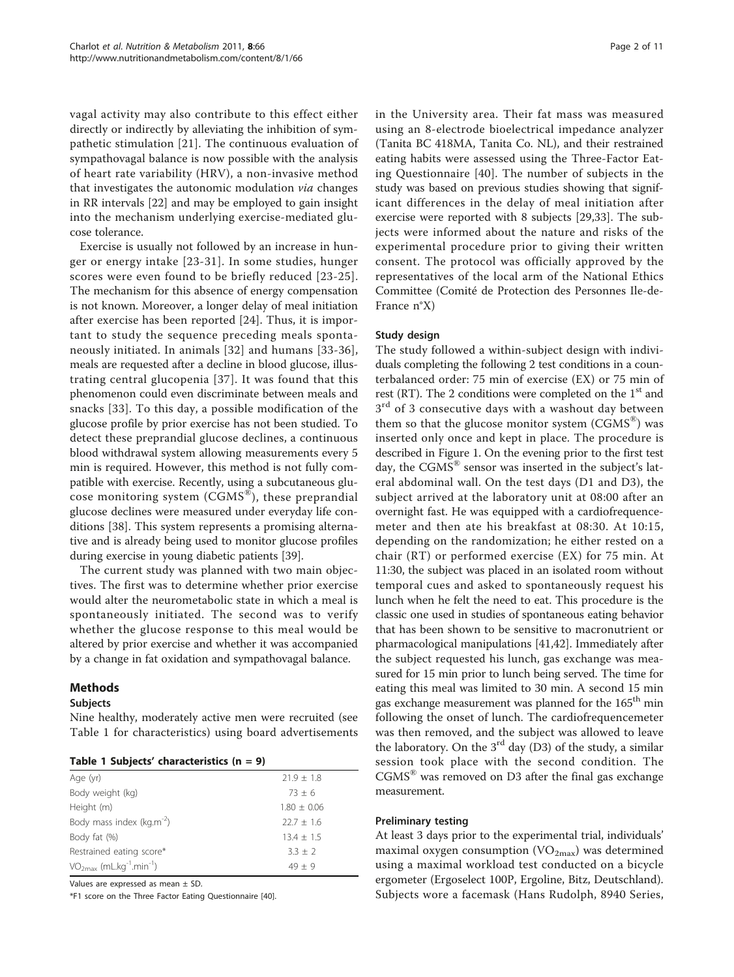vagal activity may also contribute to this effect either directly or indirectly by alleviating the inhibition of sympathetic stimulation [[21\]](#page-9-0). The continuous evaluation of sympathovagal balance is now possible with the analysis of heart rate variability (HRV), a non-invasive method that investigates the autonomic modulation via changes in RR intervals [\[22](#page-9-0)] and may be employed to gain insight into the mechanism underlying exercise-mediated glucose tolerance.

Exercise is usually not followed by an increase in hunger or energy intake [[23](#page-9-0)-[31](#page-9-0)]. In some studies, hunger scores were even found to be briefly reduced [[23-25\]](#page-9-0). The mechanism for this absence of energy compensation is not known. Moreover, a longer delay of meal initiation after exercise has been reported [[24\]](#page-9-0). Thus, it is important to study the sequence preceding meals spontaneously initiated. In animals [[32](#page-9-0)] and humans [[33-](#page-9-0)[36](#page-10-0)], meals are requested after a decline in blood glucose, illustrating central glucopenia [[37](#page-10-0)]. It was found that this phenomenon could even discriminate between meals and snacks [[33](#page-9-0)]. To this day, a possible modification of the glucose profile by prior exercise has not been studied. To detect these preprandial glucose declines, a continuous blood withdrawal system allowing measurements every 5 min is required. However, this method is not fully compatible with exercise. Recently, using a subcutaneous glucose monitoring system  $(CGMS^{\otimes})$ , these preprandial glucose declines were measured under everyday life conditions [[38\]](#page-10-0). This system represents a promising alternative and is already being used to monitor glucose profiles during exercise in young diabetic patients [[39](#page-10-0)].

The current study was planned with two main objectives. The first was to determine whether prior exercise would alter the neurometabolic state in which a meal is spontaneously initiated. The second was to verify whether the glucose response to this meal would be altered by prior exercise and whether it was accompanied by a change in fat oxidation and sympathovagal balance.

# Methods

#### Subjects

Nine healthy, moderately active men were recruited (see Table 1 for characteristics) using board advertisements

|  |  |  | Table 1 Subjects' characteristics (n = 9) |  |  |  |  |
|--|--|--|-------------------------------------------|--|--|--|--|
|--|--|--|-------------------------------------------|--|--|--|--|

| Age (yr)                                              | $21.9 + 1.8$    |
|-------------------------------------------------------|-----------------|
| Body weight (kg)                                      | $73 + 6$        |
| Height (m)                                            | $1.80 \pm 0.06$ |
| Body mass index ( $kg.m^{-2}$ )                       | $22.7 + 1.6$    |
| Body fat (%)                                          | $13.4 + 1.5$    |
| Restrained eating score*                              | $3.3 + 2$       |
| $VO_{2max}$ (mL.kg <sup>-1</sup> .min <sup>-1</sup> ) | $49 + 9$        |
|                                                       |                 |

Values are expressed as mean ± SD.

\*F1 score on the Three Factor Eating Questionnaire [[40\]](#page-10-0).

in the University area. Their fat mass was measured using an 8-electrode bioelectrical impedance analyzer (Tanita BC 418MA, Tanita Co. NL), and their restrained eating habits were assessed using the Three-Factor Eating Questionnaire [\[40](#page-10-0)]. The number of subjects in the study was based on previous studies showing that significant differences in the delay of meal initiation after exercise were reported with 8 subjects [\[29](#page-9-0),[33](#page-9-0)]. The subjects were informed about the nature and risks of the experimental procedure prior to giving their written consent. The protocol was officially approved by the representatives of the local arm of the National Ethics Committee (Comité de Protection des Personnes Ile-de-France n°X)

#### Study design

The study followed a within-subject design with individuals completing the following 2 test conditions in a counterbalanced order: 75 min of exercise (EX) or 75 min of rest (RT). The 2 conditions were completed on the 1<sup>st</sup> and  $3<sup>rd</sup>$  of 3 consecutive days with a washout day between them so that the glucose monitor system ( $CGMS^{\circledast}$ ) was inserted only once and kept in place. The procedure is described in Figure [1](#page-2-0). On the evening prior to the first test day, the CGMS<sup>®</sup> sensor was inserted in the subject's lateral abdominal wall. On the test days (D1 and D3), the subject arrived at the laboratory unit at 08:00 after an overnight fast. He was equipped with a cardiofrequencemeter and then ate his breakfast at 08:30. At 10:15, depending on the randomization; he either rested on a chair (RT) or performed exercise (EX) for 75 min. At 11:30, the subject was placed in an isolated room without temporal cues and asked to spontaneously request his lunch when he felt the need to eat. This procedure is the classic one used in studies of spontaneous eating behavior that has been shown to be sensitive to macronutrient or pharmacological manipulations [\[41,42](#page-10-0)]. Immediately after the subject requested his lunch, gas exchange was measured for 15 min prior to lunch being served. The time for eating this meal was limited to 30 min. A second 15 min gas exchange measurement was planned for the 165<sup>th</sup> min following the onset of lunch. The cardiofrequencemeter was then removed, and the subject was allowed to leave the laboratory. On the  $3<sup>rd</sup>$  day (D3) of the study, a similar session took place with the second condition. The  $CGMS<sup>®</sup>$  was removed on D3 after the final gas exchange measurement.

#### Preliminary testing

At least 3 days prior to the experimental trial, individuals' maximal oxygen consumption  $(\text{VO}_2)_{\text{max}})$  was determined using a maximal workload test conducted on a bicycle ergometer (Ergoselect 100P, Ergoline, Bitz, Deutschland). Subjects wore a facemask (Hans Rudolph, 8940 Series,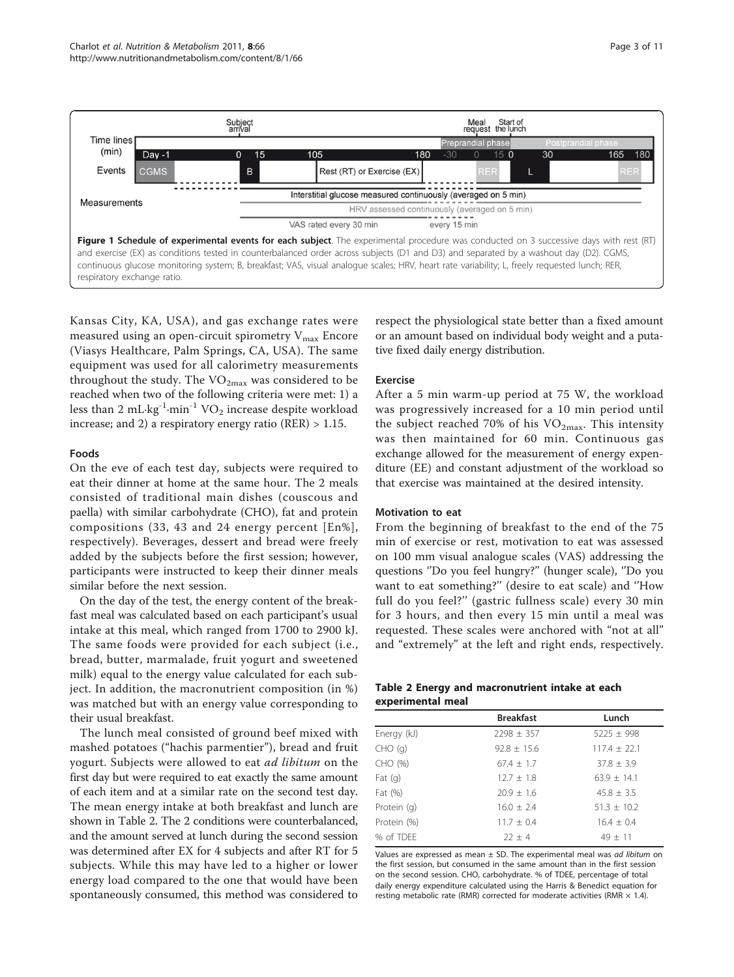

<span id="page-2-0"></span>

Kansas City, KA, USA), and gas exchange rates were measured using an open-circuit spirometry  $V_{\text{max}}$  Encore (Viasys Healthcare, Palm Springs, CA, USA). The same equipment was used for all calorimetry measurements throughout the study. The  $VO_{2max}$  was considered to be reached when two of the following criteria were met: 1) a less than 2 mL·kg<sup>-1</sup>·min<sup>-1</sup> VO<sub>2</sub> increase despite workload increase; and 2) a respiratory energy ratio ( $RER$ ) > 1.15.

#### Foods

On the eve of each test day, subjects were required to eat their dinner at home at the same hour. The 2 meals consisted of traditional main dishes (couscous and paella) with similar carbohydrate (CHO), fat and protein compositions (33, 43 and 24 energy percent [En%], respectively). Beverages, dessert and bread were freely added by the subjects before the first session; however, participants were instructed to keep their dinner meals similar before the next session.

On the day of the test, the energy content of the breakfast meal was calculated based on each participant's usual intake at this meal, which ranged from 1700 to 2900 kJ. The same foods were provided for each subject (i.e., bread, butter, marmalade, fruit yogurt and sweetened milk) equal to the energy value calculated for each subject. In addition, the macronutrient composition (in %) was matched but with an energy value corresponding to their usual breakfast.

The lunch meal consisted of ground beef mixed with mashed potatoes ("hachis parmentier"), bread and fruit yogurt. Subjects were allowed to eat ad libitum on the first day but were required to eat exactly the same amount of each item and at a similar rate on the second test day. The mean energy intake at both breakfast and lunch are shown in Table 2. The 2 conditions were counterbalanced, and the amount served at lunch during the second session was determined after EX for 4 subjects and after RT for 5 subjects. While this may have led to a higher or lower energy load compared to the one that would have been spontaneously consumed, this method was considered to respect the physiological state better than a fixed amount or an amount based on individual body weight and a putative fixed daily energy distribution.

#### Exercise

After a 5 min warm-up period at 75 W, the workload was progressively increased for a 10 min period until the subject reached 70% of his  $VO<sub>2max</sub>$ . This intensity was then maintained for 60 min. Continuous gas exchange allowed for the measurement of energy expenditure (EE) and constant adjustment of the workload so that exercise was maintained at the desired intensity.

#### Motivation to eat

From the beginning of breakfast to the end of the 75 min of exercise or rest, motivation to eat was assessed on 100 mm visual analogue scales (VAS) addressing the questions ''Do you feel hungry?'' (hunger scale), ''Do you want to eat something?'' (desire to eat scale) and ''How full do you feel?'' (gastric fullness scale) every 30 min for 3 hours, and then every 15 min until a meal was requested. These scales were anchored with "not at all" and "extremely" at the left and right ends, respectively.

#### Table 2 Energy and macronutrient intake at each experimental meal

|             | <b>Breakfast</b> | Lunch           |
|-------------|------------------|-----------------|
| Energy (kJ) | $2298 + 357$     | $5225 + 998$    |
| $CHO$ (g)   | $92.8 \pm 15.6$  | $117.4 + 22.1$  |
| CHO (%)     | $67.4 + 1.7$     | $37.8 \pm 3.9$  |
| Fat $(q)$   | $12.7 \pm 1.8$   | $63.9 \pm 14.1$ |
| Fat (%)     | $20.9 + 1.6$     | $45.8 \pm 3.5$  |
| Protein (g) | $16.0 + 2.4$     | $51.3 + 10.2$   |
| Protein (%) | $11.7 \pm 0.4$   | $16.4 \pm 0.4$  |
| % of TDEE   | $22 + 4$         | $49 + 11$       |

Values are expressed as mean  $\pm$  SD. The experimental meal was *ad libitum* on the first session, but consumed in the same amount than in the first session on the second session. CHO, carbohydrate. % of TDEE, percentage of total daily energy expenditure calculated using the Harris & Benedict equation for resting metabolic rate (RMR) corrected for moderate activities (RMR  $\times$  1.4).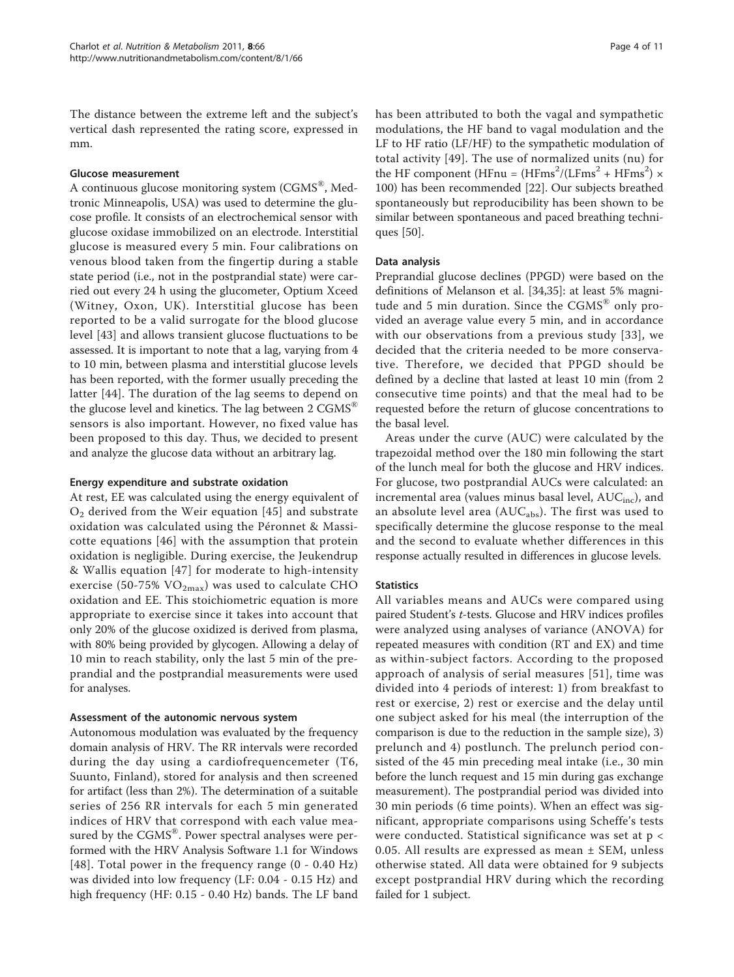The distance between the extreme left and the subject's vertical dash represented the rating score, expressed in mm.

#### Glucose measurement

A continuous glucose monitoring system (CGMS®, Medtronic Minneapolis, USA) was used to determine the glucose profile. It consists of an electrochemical sensor with glucose oxidase immobilized on an electrode. Interstitial glucose is measured every 5 min. Four calibrations on venous blood taken from the fingertip during a stable state period (i.e., not in the postprandial state) were carried out every 24 h using the glucometer, Optium Xceed (Witney, Oxon, UK). Interstitial glucose has been reported to be a valid surrogate for the blood glucose level [[43\]](#page-10-0) and allows transient glucose fluctuations to be assessed. It is important to note that a lag, varying from 4 to 10 min, between plasma and interstitial glucose levels has been reported, with the former usually preceding the latter [\[44\]](#page-10-0). The duration of the lag seems to depend on the glucose level and kinetics. The lag between 2 CGMS<sup>®</sup> sensors is also important. However, no fixed value has been proposed to this day. Thus, we decided to present and analyze the glucose data without an arbitrary lag.

#### Energy expenditure and substrate oxidation

At rest, EE was calculated using the energy equivalent of  $O<sub>2</sub>$  derived from the Weir equation [[45](#page-10-0)] and substrate oxidation was calculated using the Péronnet & Massicotte equations [[46](#page-10-0)] with the assumption that protein oxidation is negligible. During exercise, the Jeukendrup & Wallis equation [[47\]](#page-10-0) for moderate to high-intensity exercise (50-75%  $VO_{2max}$ ) was used to calculate CHO oxidation and EE. This stoichiometric equation is more appropriate to exercise since it takes into account that only 20% of the glucose oxidized is derived from plasma, with 80% being provided by glycogen. Allowing a delay of 10 min to reach stability, only the last 5 min of the preprandial and the postprandial measurements were used for analyses.

# Assessment of the autonomic nervous system

Autonomous modulation was evaluated by the frequency domain analysis of HRV. The RR intervals were recorded during the day using a cardiofrequencemeter (T6, Suunto, Finland), stored for analysis and then screened for artifact (less than 2%). The determination of a suitable series of 256 RR intervals for each 5 min generated indices of HRV that correspond with each value measured by the CGMS<sup>®</sup>. Power spectral analyses were performed with the HRV Analysis Software 1.1 for Windows [[48](#page-10-0)]. Total power in the frequency range (0 - 0.40 Hz) was divided into low frequency (LF: 0.04 - 0.15 Hz) and high frequency (HF: 0.15 - 0.40 Hz) bands. The LF band has been attributed to both the vagal and sympathetic modulations, the HF band to vagal modulation and the LF to HF ratio (LF/HF) to the sympathetic modulation of total activity [[49](#page-10-0)]. The use of normalized units (nu) for the HF component (HFnu =  $(HFms^2/(LFms^2 + HFms^2) \times$ 100) has been recommended [\[22](#page-9-0)]. Our subjects breathed spontaneously but reproducibility has been shown to be similar between spontaneous and paced breathing techniques [\[50\]](#page-10-0).

# Data analysis

Preprandial glucose declines (PPGD) were based on the definitions of Melanson et al. [[34,35\]](#page-10-0): at least 5% magnitude and 5 min duration. Since the  $CGMS^{\circledR}$  only provided an average value every 5 min, and in accordance with our observations from a previous study [[33\]](#page-9-0), we decided that the criteria needed to be more conservative. Therefore, we decided that PPGD should be defined by a decline that lasted at least 10 min (from 2 consecutive time points) and that the meal had to be requested before the return of glucose concentrations to the basal level.

Areas under the curve (AUC) were calculated by the trapezoidal method over the 180 min following the start of the lunch meal for both the glucose and HRV indices. For glucose, two postprandial AUCs were calculated: an incremental area (values minus basal level,  $AUC<sub>inc</sub>$ ), and an absolute level area ( $AUC_{abs}$ ). The first was used to specifically determine the glucose response to the meal and the second to evaluate whether differences in this response actually resulted in differences in glucose levels.

# **Statistics**

All variables means and AUCs were compared using paired Student's t-tests. Glucose and HRV indices profiles were analyzed using analyses of variance (ANOVA) for repeated measures with condition (RT and EX) and time as within-subject factors. According to the proposed approach of analysis of serial measures [[51](#page-10-0)], time was divided into 4 periods of interest: 1) from breakfast to rest or exercise, 2) rest or exercise and the delay until one subject asked for his meal (the interruption of the comparison is due to the reduction in the sample size), 3) prelunch and 4) postlunch. The prelunch period consisted of the 45 min preceding meal intake (i.e., 30 min before the lunch request and 15 min during gas exchange measurement). The postprandial period was divided into 30 min periods (6 time points). When an effect was significant, appropriate comparisons using Scheffe's tests were conducted. Statistical significance was set at p < 0.05. All results are expressed as mean ± SEM, unless otherwise stated. All data were obtained for 9 subjects except postprandial HRV during which the recording failed for 1 subject.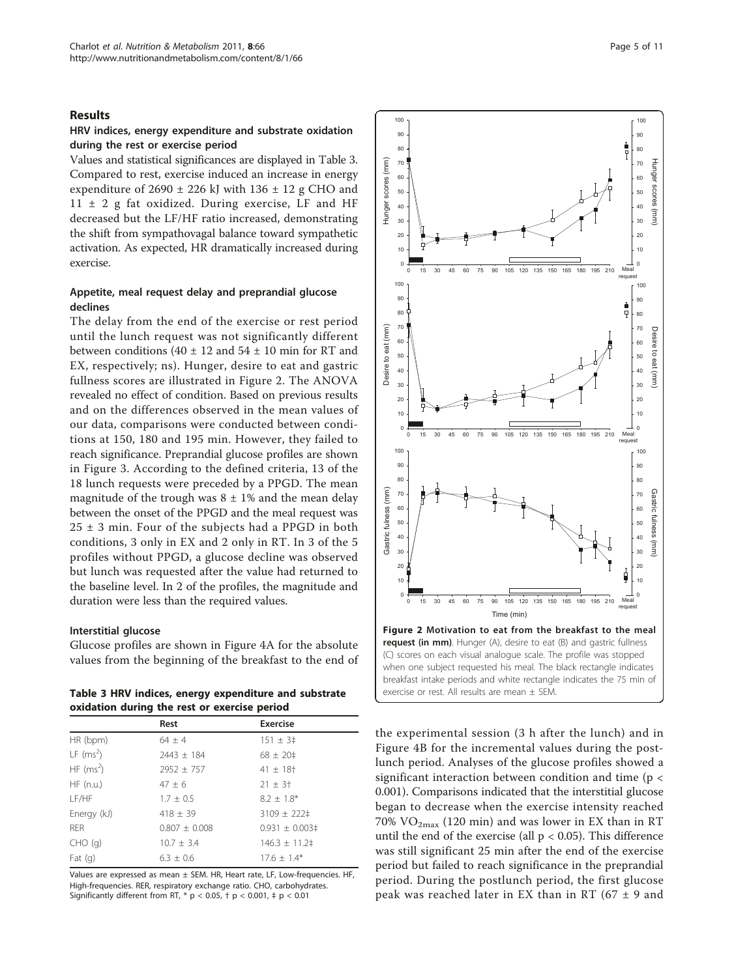#### Results

# HRV indices, energy expenditure and substrate oxidation during the rest or exercise period

Values and statistical significances are displayed in Table 3. Compared to rest, exercise induced an increase in energy expenditure of 2690  $\pm$  226 kJ with 136  $\pm$  12 g CHO and  $11 \pm 2$  g fat oxidized. During exercise, LF and HF decreased but the LF/HF ratio increased, demonstrating the shift from sympathovagal balance toward sympathetic activation. As expected, HR dramatically increased during exercise.

# Appetite, meal request delay and preprandial glucose declines

The delay from the end of the exercise or rest period until the lunch request was not significantly different between conditions (40  $\pm$  12 and 54  $\pm$  10 min for RT and EX, respectively; ns). Hunger, desire to eat and gastric fullness scores are illustrated in Figure 2. The ANOVA revealed no effect of condition. Based on previous results and on the differences observed in the mean values of our data, comparisons were conducted between conditions at 150, 180 and 195 min. However, they failed to reach significance. Preprandial glucose profiles are shown in Figure [3.](#page-5-0) According to the defined criteria, 13 of the 18 lunch requests were preceded by a PPGD. The mean magnitude of the trough was  $8 \pm 1\%$  and the mean delay between the onset of the PPGD and the meal request was  $25 \pm 3$  min. Four of the subjects had a PPGD in both conditions, 3 only in EX and 2 only in RT. In 3 of the 5 profiles without PPGD, a glucose decline was observed but lunch was requested after the value had returned to the baseline level. In 2 of the profiles, the magnitude and duration were less than the required values.

#### Interstitial glucose

Glucose profiles are shown in Figure [4A](#page-5-0) for the absolute values from the beginning of the breakfast to the end of

Table 3 HRV indices, energy expenditure and substrate oxidation during the rest or exercise period

| extendition waiting the rest of excluse period |                   |                         |  |  |
|------------------------------------------------|-------------------|-------------------------|--|--|
|                                                | Rest              | <b>Exercise</b>         |  |  |
| HR (bpm)                                       | $64 \pm 4$        | $151 \pm 3$ ‡           |  |  |
| LF $(ms^2)$                                    | $2443 \pm 184$    | $68 \pm 20$ ‡           |  |  |
| HF $(ms^2)$                                    | $2952 \pm 757$    | $41 \pm 18$             |  |  |
| HF(n.u.)                                       | $47 \pm 6$        | $21 \pm 3$ <sup>+</sup> |  |  |
| LF/HF                                          | $1.7 \pm 0.5$     | $8.2 \pm 1.8^*$         |  |  |
| Energy (kJ)                                    | $418 \pm 39$      | $3109 \pm 222$ ‡        |  |  |
| <b>RER</b>                                     | $0.807 \pm 0.008$ | $0.931 \pm 0.003$ #     |  |  |
| $CHO$ (g)                                      | $10.7 \pm 3.4$    | $146.3 \pm 11.2$        |  |  |
| Fat(q)                                         | $6.3 \pm 0.6$     | $17.6 + 1.4*$           |  |  |

Values are expressed as mean ± SEM. HR, Heart rate, LF, Low-frequencies. HF, High-frequencies. RER, respiratory exchange ratio. CHO, carbohydrates. Significantly different from RT,  $*$  p < 0.05,  $\dagger$  p < 0.001,  $*$  p < 0.01



the experimental session (3 h after the lunch) and in Figure [4B](#page-5-0) for the incremental values during the postlunch period. Analyses of the glucose profiles showed a significant interaction between condition and time ( $p <$ 0.001). Comparisons indicated that the interstitial glucose began to decrease when the exercise intensity reached  $70\%$  VO<sub>2max</sub> (120 min) and was lower in EX than in RT until the end of the exercise (all  $p < 0.05$ ). This difference was still significant 25 min after the end of the exercise period but failed to reach significance in the preprandial period. During the postlunch period, the first glucose peak was reached later in EX than in RT ( $67 \pm 9$  and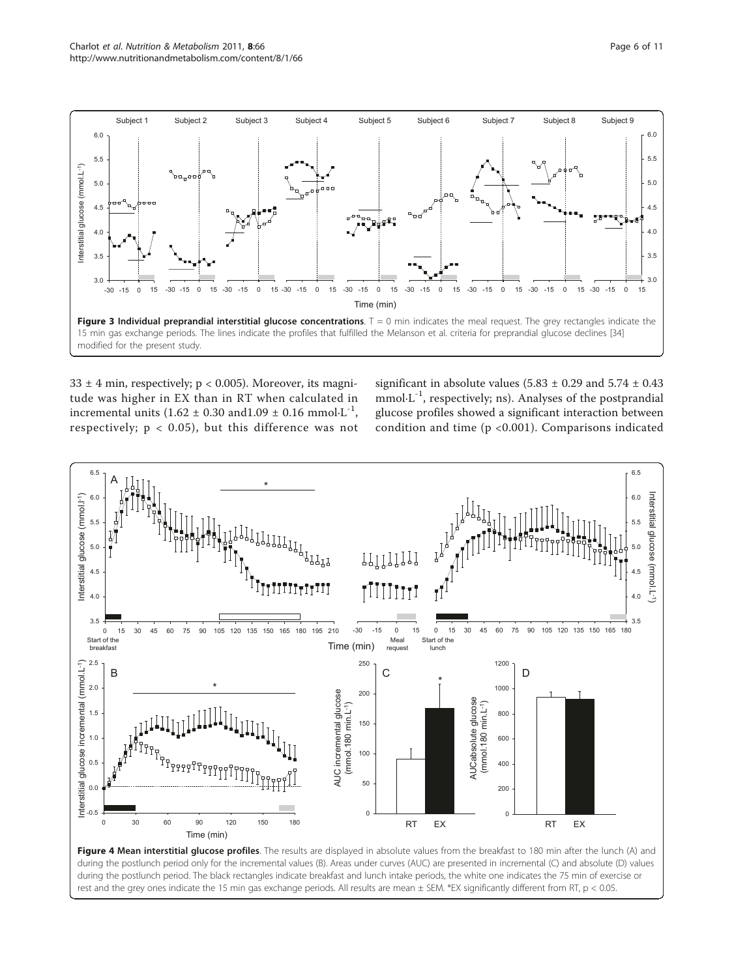<span id="page-5-0"></span>

 $33 \pm 4$  min, respectively;  $p < 0.005$ ). Moreover, its magnitude was higher in EX than in RT when calculated in incremental units  $(1.62 \pm 0.30 \text{ and } 1.09 \pm 0.16 \text{ mmol·L}^{-1})$ , respectively;  $p < 0.05$ ), but this difference was not

significant in absolute values (5.83  $\pm$  0.29 and 5.74  $\pm$  0.43  $mmol·L^{-1}$ , respectively; ns). Analyses of the postprandial glucose profiles showed a significant interaction between condition and time (p <0.001). Comparisons indicated



Figure 4 Mean interstitial glucose profiles. The results are displayed in absolute values from the breakfast to 180 min after the lunch (A) and during the postlunch period only for the incremental values (B). Areas under curves (AUC) are presented in incremental (C) and absolute (D) values during the postlunch period. The black rectangles indicate breakfast and lunch intake periods, the white one indicates the 75 min of exercise or rest and the grey ones indicate the 15 min gas exchange periods. All results are mean ± SEM. \*EX significantly different from RT, p < 0.05.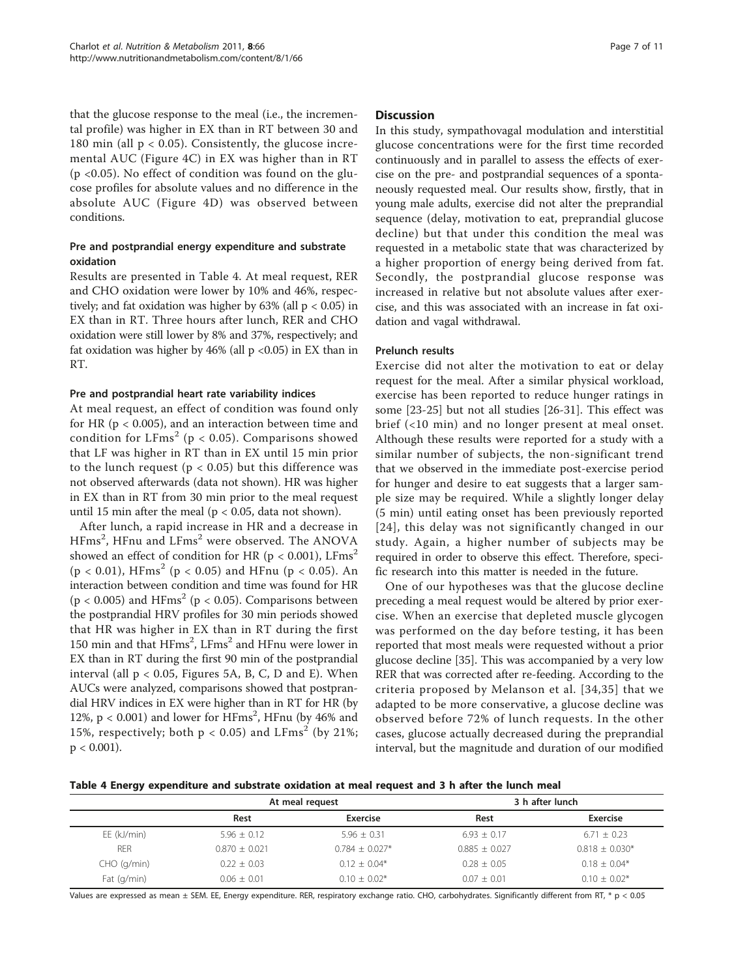that the glucose response to the meal (i.e., the incremental profile) was higher in EX than in RT between 30 and 180 min (all p < 0.05). Consistently, the glucose incremental AUC (Figure [4C](#page-5-0)) in EX was higher than in RT (p <0.05). No effect of condition was found on the glucose profiles for absolute values and no difference in the absolute AUC (Figure [4D\)](#page-5-0) was observed between conditions.

# Pre and postprandial energy expenditure and substrate oxidation

Results are presented in Table 4. At meal request, RER and CHO oxidation were lower by 10% and 46%, respectively; and fat oxidation was higher by  $63\%$  (all  $p < 0.05$ ) in EX than in RT. Three hours after lunch, RER and CHO oxidation were still lower by 8% and 37%, respectively; and fat oxidation was higher by  $46\%$  (all p <0.05) in EX than in RT.

# Pre and postprandial heart rate variability indices

At meal request, an effect of condition was found only for HR ( $p < 0.005$ ), and an interaction between time and condition for LFms<sup>2</sup> ( $p < 0.05$ ). Comparisons showed that LF was higher in RT than in EX until 15 min prior to the lunch request ( $p < 0.05$ ) but this difference was not observed afterwards (data not shown). HR was higher in EX than in RT from 30 min prior to the meal request until 15 min after the meal ( $p < 0.05$ , data not shown).

After lunch, a rapid increase in HR and a decrease in  ${\rm HFms}^2$ ,  ${\rm HFnu}$  and  ${\rm LFms}^2$  were observed. The ANOVA showed an effect of condition for HR ( $p < 0.001$ ), LFms<sup>2</sup>  $(p < 0.01)$ , HFms<sup>2</sup> (p < 0.05) and HFnu (p < 0.05). An interaction between condition and time was found for HR  $(p < 0.005)$  and HFms<sup>2</sup> ( $p < 0.05$ ). Comparisons between the postprandial HRV profiles for 30 min periods showed that HR was higher in EX than in RT during the first 150 min and that HFms<sup>2</sup>, LFms<sup>2</sup> and HFnu were lower in EX than in RT during the first 90 min of the postprandial interval (all  $p < 0.05$ , Figures [5A](#page-7-0), B, C, D and E). When AUCs were analyzed, comparisons showed that postprandial HRV indices in EX were higher than in RT for HR (by 12%,  $p < 0.001$ ) and lower for HFms<sup>2</sup>, HFnu (by 46% and 15%, respectively; both  $p < 0.05$ ) and LFms<sup>2</sup> (by 21%;  $p < 0.001$ ).

#### **Discussion**

In this study, sympathovagal modulation and interstitial glucose concentrations were for the first time recorded continuously and in parallel to assess the effects of exercise on the pre- and postprandial sequences of a spontaneously requested meal. Our results show, firstly, that in young male adults, exercise did not alter the preprandial sequence (delay, motivation to eat, preprandial glucose decline) but that under this condition the meal was requested in a metabolic state that was characterized by a higher proportion of energy being derived from fat. Secondly, the postprandial glucose response was increased in relative but not absolute values after exercise, and this was associated with an increase in fat oxidation and vagal withdrawal.

#### Prelunch results

Exercise did not alter the motivation to eat or delay request for the meal. After a similar physical workload, exercise has been reported to reduce hunger ratings in some [[23-25\]](#page-9-0) but not all studies [\[26](#page-9-0)-[31\]](#page-9-0). This effect was brief (<10 min) and no longer present at meal onset. Although these results were reported for a study with a similar number of subjects, the non-significant trend that we observed in the immediate post-exercise period for hunger and desire to eat suggests that a larger sample size may be required. While a slightly longer delay (5 min) until eating onset has been previously reported [[24\]](#page-9-0), this delay was not significantly changed in our study. Again, a higher number of subjects may be required in order to observe this effect. Therefore, specific research into this matter is needed in the future.

One of our hypotheses was that the glucose decline preceding a meal request would be altered by prior exercise. When an exercise that depleted muscle glycogen was performed on the day before testing, it has been reported that most meals were requested without a prior glucose decline [\[35](#page-10-0)]. This was accompanied by a very low RER that was corrected after re-feeding. According to the criteria proposed by Melanson et al. [[34,35\]](#page-10-0) that we adapted to be more conservative, a glucose decline was observed before 72% of lunch requests. In the other cases, glucose actually decreased during the preprandial interval, but the magnitude and duration of our modified

Table 4 Energy expenditure and substrate oxidation at meal request and 3 h after the lunch meal

|               | At meal request |                  | 3 h after lunch |                  |  |
|---------------|-----------------|------------------|-----------------|------------------|--|
|               | Rest            | Exercise         | Rest            | Exercise         |  |
| $EE$ (kJ/min) | $5.96 + 0.12$   | $5.96 + 0.31$    | $6.93 + 0.17$   | $6.71 + 0.23$    |  |
| <b>RER</b>    | $0.870 + 0.021$ | $0.784 + 0.027*$ | $0.885 + 0.027$ | $0.818 + 0.030*$ |  |
| CHO (q/min)   | $0.22 \pm 0.03$ | $0.12 + 0.04*$   | $0.28 \pm 0.05$ | $0.18 \pm 0.04*$ |  |
| Fat $(q/min)$ | $0.06 + 0.01$   | $0.10 + 0.02*$   | $0.07 + 0.01$   | $0.10 + 0.02*$   |  |

Values are expressed as mean ± SEM. EE, Energy expenditure. RER, respiratory exchange ratio. CHO, carbohydrates. Significantly different from RT, \* p < 0.05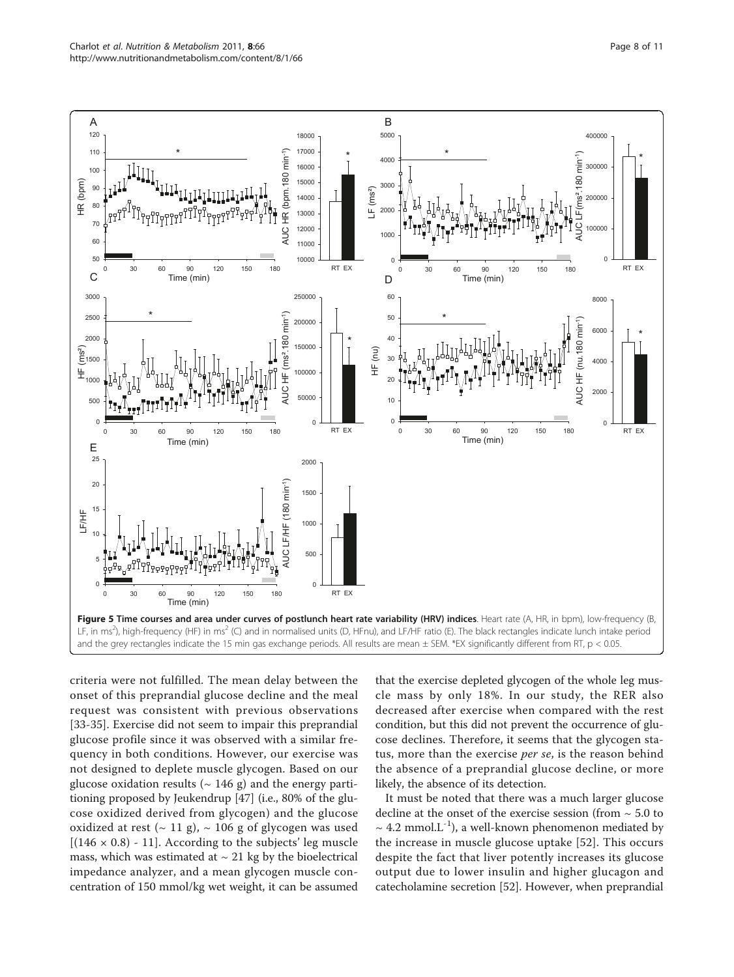<span id="page-7-0"></span>

criteria were not fulfilled. The mean delay between the onset of this preprandial glucose decline and the meal request was consistent with previous observations [[33](#page-9-0)[-35](#page-10-0)]. Exercise did not seem to impair this preprandial glucose profile since it was observed with a similar frequency in both conditions. However, our exercise was not designed to deplete muscle glycogen. Based on our glucose oxidation results ( $\sim$  146 g) and the energy partitioning proposed by Jeukendrup [[47](#page-10-0)] (i.e., 80% of the glucose oxidized derived from glycogen) and the glucose oxidized at rest ( $\sim$  11 g),  $\sim$  106 g of glycogen was used  $[(146 \times 0.8) - 11]$ . According to the subjects' leg muscle mass, which was estimated at  $\sim$  21 kg by the bioelectrical impedance analyzer, and a mean glycogen muscle concentration of 150 mmol/kg wet weight, it can be assumed

that the exercise depleted glycogen of the whole leg muscle mass by only 18%. In our study, the RER also decreased after exercise when compared with the rest condition, but this did not prevent the occurrence of glucose declines. Therefore, it seems that the glycogen status, more than the exercise *per se*, is the reason behind the absence of a preprandial glucose decline, or more likely, the absence of its detection.

It must be noted that there was a much larger glucose decline at the onset of the exercise session (from  $\sim$  5.0 to  $\sim$  4.2 mmol.L<sup>-1</sup>), a well-known phenomenon mediated by the increase in muscle glucose uptake [[52\]](#page-10-0). This occurs despite the fact that liver potently increases its glucose output due to lower insulin and higher glucagon and catecholamine secretion [\[52](#page-10-0)]. However, when preprandial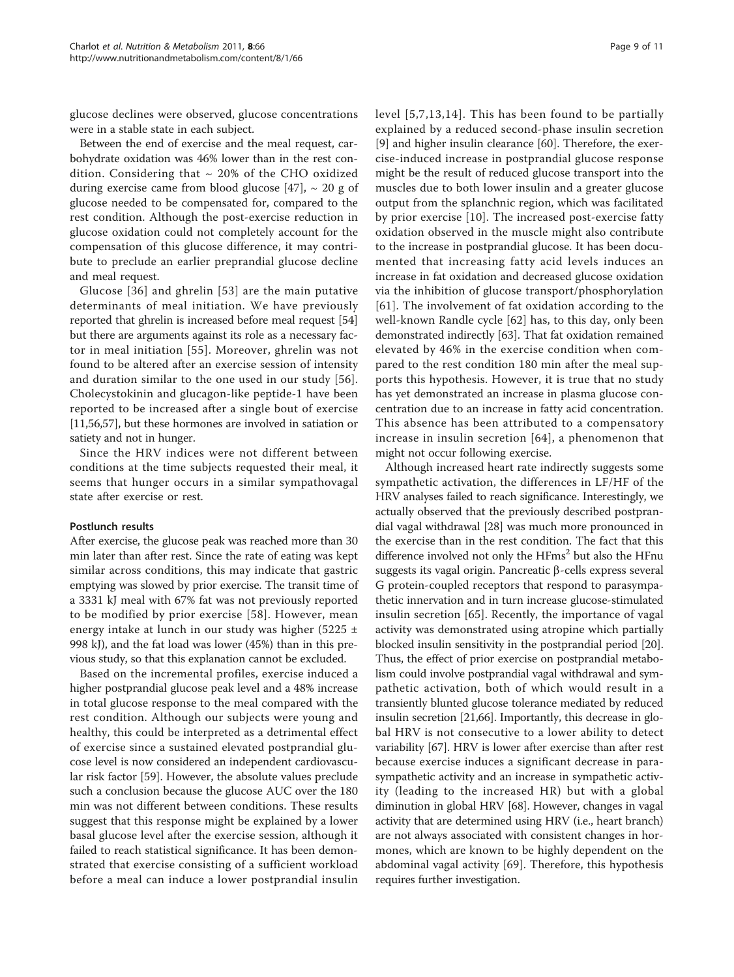glucose declines were observed, glucose concentrations were in a stable state in each subject.

Between the end of exercise and the meal request, carbohydrate oxidation was 46% lower than in the rest condition. Considering that  $\sim$  20% of the CHO oxidized during exercise came from blood glucose [[47](#page-10-0)],  $\sim$  20 g of glucose needed to be compensated for, compared to the rest condition. Although the post-exercise reduction in glucose oxidation could not completely account for the compensation of this glucose difference, it may contribute to preclude an earlier preprandial glucose decline and meal request.

Glucose [\[36\]](#page-10-0) and ghrelin [[53](#page-10-0)] are the main putative determinants of meal initiation. We have previously reported that ghrelin is increased before meal request [[54](#page-10-0)] but there are arguments against its role as a necessary factor in meal initiation [[55\]](#page-10-0). Moreover, ghrelin was not found to be altered after an exercise session of intensity and duration similar to the one used in our study [[56](#page-10-0)]. Cholecystokinin and glucagon-like peptide-1 have been reported to be increased after a single bout of exercise [[11](#page-9-0)[,56,57\]](#page-10-0), but these hormones are involved in satiation or satiety and not in hunger.

Since the HRV indices were not different between conditions at the time subjects requested their meal, it seems that hunger occurs in a similar sympathovagal state after exercise or rest.

#### Postlunch results

After exercise, the glucose peak was reached more than 30 min later than after rest. Since the rate of eating was kept similar across conditions, this may indicate that gastric emptying was slowed by prior exercise. The transit time of a 3331 kJ meal with 67% fat was not previously reported to be modified by prior exercise [[58\]](#page-10-0). However, mean energy intake at lunch in our study was higher (5225 ± 998 kJ), and the fat load was lower (45%) than in this previous study, so that this explanation cannot be excluded.

Based on the incremental profiles, exercise induced a higher postprandial glucose peak level and a 48% increase in total glucose response to the meal compared with the rest condition. Although our subjects were young and healthy, this could be interpreted as a detrimental effect of exercise since a sustained elevated postprandial glucose level is now considered an independent cardiovascular risk factor [\[59\]](#page-10-0). However, the absolute values preclude such a conclusion because the glucose AUC over the 180 min was not different between conditions. These results suggest that this response might be explained by a lower basal glucose level after the exercise session, although it failed to reach statistical significance. It has been demonstrated that exercise consisting of a sufficient workload before a meal can induce a lower postprandial insulin level [[5](#page-9-0),[7](#page-9-0),[13,14\]](#page-9-0). This has been found to be partially explained by a reduced second-phase insulin secretion [[9\]](#page-9-0) and higher insulin clearance [\[60\]](#page-10-0). Therefore, the exercise-induced increase in postprandial glucose response might be the result of reduced glucose transport into the muscles due to both lower insulin and a greater glucose output from the splanchnic region, which was facilitated by prior exercise [\[10](#page-9-0)]. The increased post-exercise fatty oxidation observed in the muscle might also contribute to the increase in postprandial glucose. It has been documented that increasing fatty acid levels induces an increase in fat oxidation and decreased glucose oxidation via the inhibition of glucose transport/phosphorylation [[61](#page-10-0)]. The involvement of fat oxidation according to the well-known Randle cycle [\[62](#page-10-0)] has, to this day, only been demonstrated indirectly [\[63\]](#page-10-0). That fat oxidation remained elevated by 46% in the exercise condition when compared to the rest condition 180 min after the meal supports this hypothesis. However, it is true that no study has yet demonstrated an increase in plasma glucose concentration due to an increase in fatty acid concentration. This absence has been attributed to a compensatory increase in insulin secretion [[64\]](#page-10-0), a phenomenon that might not occur following exercise.

Although increased heart rate indirectly suggests some sympathetic activation, the differences in LF/HF of the HRV analyses failed to reach significance. Interestingly, we actually observed that the previously described postprandial vagal withdrawal [[28\]](#page-9-0) was much more pronounced in the exercise than in the rest condition. The fact that this difference involved not only the  $H$ Fms<sup>2</sup> but also the  $H$ Fnu suggests its vagal origin. Pancreatic  $\beta$ -cells express several G protein-coupled receptors that respond to parasympathetic innervation and in turn increase glucose-stimulated insulin secretion [\[65](#page-10-0)]. Recently, the importance of vagal activity was demonstrated using atropine which partially blocked insulin sensitivity in the postprandial period [[20](#page-9-0)]. Thus, the effect of prior exercise on postprandial metabolism could involve postprandial vagal withdrawal and sympathetic activation, both of which would result in a transiently blunted glucose tolerance mediated by reduced insulin secretion [[21](#page-9-0)[,66\]](#page-10-0). Importantly, this decrease in global HRV is not consecutive to a lower ability to detect variability [\[67\]](#page-10-0). HRV is lower after exercise than after rest because exercise induces a significant decrease in parasympathetic activity and an increase in sympathetic activity (leading to the increased HR) but with a global diminution in global HRV [\[68\]](#page-10-0). However, changes in vagal activity that are determined using HRV (i.e., heart branch) are not always associated with consistent changes in hormones, which are known to be highly dependent on the abdominal vagal activity [[69\]](#page-10-0). Therefore, this hypothesis requires further investigation.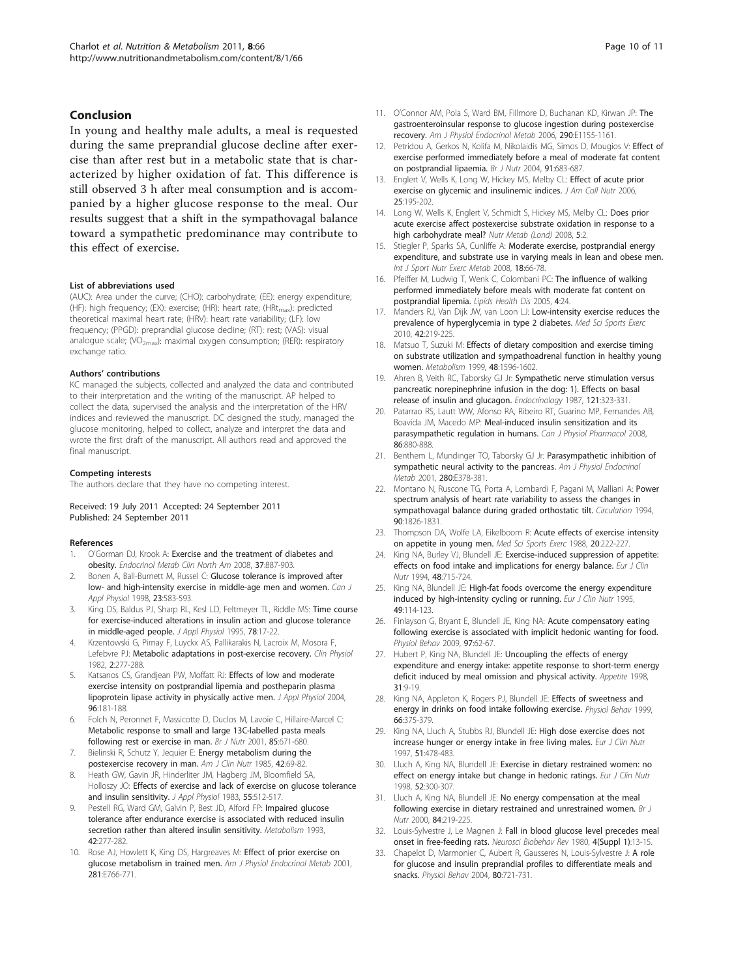#### <span id="page-9-0"></span>Conclusion

In young and healthy male adults, a meal is requested during the same preprandial glucose decline after exercise than after rest but in a metabolic state that is characterized by higher oxidation of fat. This difference is still observed 3 h after meal consumption and is accompanied by a higher glucose response to the meal. Our results suggest that a shift in the sympathovagal balance toward a sympathetic predominance may contribute to this effect of exercise.

#### List of abbreviations used

(AUC): Area under the curve; (CHO): carbohydrate; (EE): energy expenditure; (HF): high frequency; (EX): exercise; (HR): heart rate; (HRt<sub>max</sub>): predicted theoretical maximal heart rate; (HRV): heart rate variability; (LF): low frequency; (PPGD): preprandial glucose decline; (RT): rest; (VAS): visual analogue scale;  $\langle\mathsf{VO}_{2\mathsf{max}}\rangle$ : maximal oxygen consumption; (RER): respiratory exchange ratio.

#### Authors' contributions

KC managed the subjects, collected and analyzed the data and contributed to their interpretation and the writing of the manuscript. AP helped to collect the data, supervised the analysis and the interpretation of the HRV indices and reviewed the manuscript. DC designed the study, managed the glucose monitoring, helped to collect, analyze and interpret the data and wrote the first draft of the manuscript. All authors read and approved the final manuscript.

#### Competing interests

The authors declare that they have no competing interest.

#### Received: 19 July 2011 Accepted: 24 September 2011 Published: 24 September 2011

#### References

- 1. O'Gorman DJ, Krook A: [Exercise and the treatment of diabetes and](http://www.ncbi.nlm.nih.gov/pubmed/19026938?dopt=Abstract) [obesity.](http://www.ncbi.nlm.nih.gov/pubmed/19026938?dopt=Abstract) Endocrinol Metab Clin North Am 2008, 37:887-903.
- Bonen A, Ball-Burnett M, Russel C: [Glucose tolerance is improved after](http://www.ncbi.nlm.nih.gov/pubmed/9822794?dopt=Abstract) [low- and high-intensity exercise in middle-age men and women.](http://www.ncbi.nlm.nih.gov/pubmed/9822794?dopt=Abstract) Can J Appl Physiol 1998, 23:583-593.
- King DS, Baldus PJ, Sharp RL, Kesl LD, Feltmeyer TL, Riddle MS: [Time course](http://www.ncbi.nlm.nih.gov/pubmed/7713807?dopt=Abstract) [for exercise-induced alterations in insulin action and glucose tolerance](http://www.ncbi.nlm.nih.gov/pubmed/7713807?dopt=Abstract) [in middle-aged people.](http://www.ncbi.nlm.nih.gov/pubmed/7713807?dopt=Abstract) J Appl Physiol 1995, 78:17-22.
- 4. Krzentowski G, Pirnay F, Luyckx AS, Pallikarakis N, Lacroix M, Mosora F, Lefebvre PJ: [Metabolic adaptations in post-exercise recovery.](http://www.ncbi.nlm.nih.gov/pubmed/6751656?dopt=Abstract) Clin Physiol 1982, 2:277-288.
- Katsanos CS, Grandjean PW, Moffatt RJ: [Effects of low and moderate](http://www.ncbi.nlm.nih.gov/pubmed/12949025?dopt=Abstract) [exercise intensity on postprandial lipemia and postheparin plasma](http://www.ncbi.nlm.nih.gov/pubmed/12949025?dopt=Abstract) [lipoprotein lipase activity in physically active men.](http://www.ncbi.nlm.nih.gov/pubmed/12949025?dopt=Abstract) J Appl Physiol 2004, 96:181-188.
- 6. Folch N, Peronnet F, Massicotte D, Duclos M, Lavoie C, Hillaire-Marcel C: [Metabolic response to small and large 13C-labelled pasta meals](http://www.ncbi.nlm.nih.gov/pubmed/11430771?dopt=Abstract) [following rest or exercise in man.](http://www.ncbi.nlm.nih.gov/pubmed/11430771?dopt=Abstract) Br J Nutr 2001, 85:671-680.
- 7. Bielinski R, Schutz Y, Jequier E: [Energy metabolism during the](http://www.ncbi.nlm.nih.gov/pubmed/3893093?dopt=Abstract) [postexercise recovery in man.](http://www.ncbi.nlm.nih.gov/pubmed/3893093?dopt=Abstract) Am J Clin Nutr 1985, 42:69-82.
- Heath GW, Gavin JR, Hinderliter JM, Hagberg JM, Bloomfield SA, Holloszy JO: [Effects of exercise and lack of exercise on glucose tolerance](http://www.ncbi.nlm.nih.gov/pubmed/6352578?dopt=Abstract) [and insulin sensitivity.](http://www.ncbi.nlm.nih.gov/pubmed/6352578?dopt=Abstract) J Appl Physiol 1983, 55:512-517.
- Pestell RG, Ward GM, Galvin P, Best JD, Alford FP: [Impaired glucose](http://www.ncbi.nlm.nih.gov/pubmed/8487644?dopt=Abstract) [tolerance after endurance exercise is associated with reduced insulin](http://www.ncbi.nlm.nih.gov/pubmed/8487644?dopt=Abstract) [secretion rather than altered insulin sensitivity.](http://www.ncbi.nlm.nih.gov/pubmed/8487644?dopt=Abstract) Metabolism 1993, 42:277-282.
- 10. Rose AJ, Howlett K, King DS, Hargreaves M: [Effect of prior exercise on](http://www.ncbi.nlm.nih.gov/pubmed/11551853?dopt=Abstract) [glucose metabolism in trained men.](http://www.ncbi.nlm.nih.gov/pubmed/11551853?dopt=Abstract) Am J Physiol Endocrinol Metab 2001, 281:E766-771.
- 11. O'Connor AM, Pola S, Ward BM, Fillmore D, Buchanan KD, Kirwan JP: [The](http://www.ncbi.nlm.nih.gov/pubmed/16403776?dopt=Abstract) [gastroenteroinsular response to glucose ingestion during postexercise](http://www.ncbi.nlm.nih.gov/pubmed/16403776?dopt=Abstract) [recovery.](http://www.ncbi.nlm.nih.gov/pubmed/16403776?dopt=Abstract) Am J Physiol Endocrinol Metab 2006, 290:E1155-1161.
- 12. Petridou A, Gerkos N, Kolifa M, Nikolaidis MG, Simos D, Mougios V: [Effect of](http://www.ncbi.nlm.nih.gov/pubmed/15137919?dopt=Abstract) [exercise performed immediately before a meal of moderate fat content](http://www.ncbi.nlm.nih.gov/pubmed/15137919?dopt=Abstract) [on postprandial lipaemia.](http://www.ncbi.nlm.nih.gov/pubmed/15137919?dopt=Abstract) Br J Nutr 2004, 91:683-687.
- 13. Englert V, Wells K, Long W, Hickey MS, Melby CL: [Effect of acute prior](http://www.ncbi.nlm.nih.gov/pubmed/16766777?dopt=Abstract) [exercise on glycemic and insulinemic indices.](http://www.ncbi.nlm.nih.gov/pubmed/16766777?dopt=Abstract) J Am Coll Nutr 2006, 25:195-202.
- 14. Long W, Wells K, Englert V, Schmidt S, Hickey MS, Melby CL: Does prior acute exercise affect postexercise substrate oxidation in response to a high carbohydrate meal? Nutr Metab (Lond) 2008, 5:2.
- 15. Stiegler P, Sparks SA, Cunliffe A: [Moderate exercise, postprandial energy](http://www.ncbi.nlm.nih.gov/pubmed/18272934?dopt=Abstract) [expenditure, and substrate use in varying meals in lean and obese men.](http://www.ncbi.nlm.nih.gov/pubmed/18272934?dopt=Abstract) Int J Sport Nutr Exerc Metab 2008, 18:66-78.
- 16. Pfeiffer M, Ludwig T, Wenk C, Colombani PC: [The influence of walking](http://www.ncbi.nlm.nih.gov/pubmed/16209707?dopt=Abstract) [performed immediately before meals with moderate fat content on](http://www.ncbi.nlm.nih.gov/pubmed/16209707?dopt=Abstract) [postprandial lipemia.](http://www.ncbi.nlm.nih.gov/pubmed/16209707?dopt=Abstract) Lipids Health Dis 2005, 4:24.
- 17. Manders RJ, Van Dijk JW, van Loon LJ: [Low-intensity exercise reduces the](http://www.ncbi.nlm.nih.gov/pubmed/19927038?dopt=Abstract) [prevalence of hyperglycemia in type 2 diabetes.](http://www.ncbi.nlm.nih.gov/pubmed/19927038?dopt=Abstract) Med Sci Sports Exerc 2010, 42:219-225.
- 18. Matsuo T, Suzuki M: [Effects of dietary composition and exercise timing](http://www.ncbi.nlm.nih.gov/pubmed/10599994?dopt=Abstract) [on substrate utilization and sympathoadrenal function in healthy young](http://www.ncbi.nlm.nih.gov/pubmed/10599994?dopt=Abstract) [women.](http://www.ncbi.nlm.nih.gov/pubmed/10599994?dopt=Abstract) Metabolism 1999, 48:1596-1602.
- 19. Ahren B, Veith RC, Taborsky GJ Jr: [Sympathetic nerve stimulation versus](http://www.ncbi.nlm.nih.gov/pubmed/3297643?dopt=Abstract) [pancreatic norepinephrine infusion in the dog: 1\). Effects on basal](http://www.ncbi.nlm.nih.gov/pubmed/3297643?dopt=Abstract) [release of insulin and glucagon.](http://www.ncbi.nlm.nih.gov/pubmed/3297643?dopt=Abstract) Endocrinology 1987, 121:323-331.
- 20. Patarrao RS, Lautt WW, Afonso RA, Ribeiro RT, Guarino MP, Fernandes AB, Boavida JM, Macedo MP: [Meal-induced insulin sensitization and its](http://www.ncbi.nlm.nih.gov/pubmed/19088809?dopt=Abstract) [parasympathetic regulation in humans.](http://www.ncbi.nlm.nih.gov/pubmed/19088809?dopt=Abstract) Can J Physiol Pharmacol 2008, 86:880-888.
- 21. Benthem L, Mundinger TO, Taborsky GJ Jr: [Parasympathetic inhibition of](http://www.ncbi.nlm.nih.gov/pubmed/11158944?dopt=Abstract) [sympathetic neural activity to the pancreas.](http://www.ncbi.nlm.nih.gov/pubmed/11158944?dopt=Abstract) Am J Physiol Endocrinol Metab 2001, 280:E378-381.
- 22. Montano N, Ruscone TG, Porta A, Lombardi F, Pagani M, Malliani A: [Power](http://www.ncbi.nlm.nih.gov/pubmed/7923668?dopt=Abstract) [spectrum analysis of heart rate variability to assess the changes in](http://www.ncbi.nlm.nih.gov/pubmed/7923668?dopt=Abstract) [sympathovagal balance during graded orthostatic tilt.](http://www.ncbi.nlm.nih.gov/pubmed/7923668?dopt=Abstract) Circulation 1994, 90:1826-1831.
- 23. Thompson DA, Wolfe LA, Eikelboom R: [Acute effects of exercise intensity](http://www.ncbi.nlm.nih.gov/pubmed/3386499?dopt=Abstract) [on appetite in young men.](http://www.ncbi.nlm.nih.gov/pubmed/3386499?dopt=Abstract) Med Sci Sports Exerc 1988, 20:222-227.
- 24. King NA, Burley VJ, Blundell JE: [Exercise-induced suppression of appetite:](http://www.ncbi.nlm.nih.gov/pubmed/7835326?dopt=Abstract) [effects on food intake and implications for energy balance.](http://www.ncbi.nlm.nih.gov/pubmed/7835326?dopt=Abstract) Eur J Clin Nutr 1994, 48:715-724.
- 25. King NA, Blundell JE: [High-fat foods overcome the energy expenditure](http://www.ncbi.nlm.nih.gov/pubmed/7743984?dopt=Abstract) [induced by high-intensity cycling or running.](http://www.ncbi.nlm.nih.gov/pubmed/7743984?dopt=Abstract) Eur J Clin Nutr 1995, 49:114-123.
- 26. Finlayson G, Bryant E, Blundell JE, King NA: [Acute compensatory eating](http://www.ncbi.nlm.nih.gov/pubmed/19419671?dopt=Abstract) [following exercise is associated with implicit hedonic wanting for food.](http://www.ncbi.nlm.nih.gov/pubmed/19419671?dopt=Abstract) Physiol Behav 2009, 97:62-67.
- 27. Hubert P, King NA, Blundell JE: [Uncoupling the effects of energy](http://www.ncbi.nlm.nih.gov/pubmed/9716432?dopt=Abstract) [expenditure and energy intake: appetite response to short-term energy](http://www.ncbi.nlm.nih.gov/pubmed/9716432?dopt=Abstract) [deficit induced by meal omission and physical activity.](http://www.ncbi.nlm.nih.gov/pubmed/9716432?dopt=Abstract) Appetite 1998, 31:9-19.
- 28. King NA, Appleton K, Rogers PJ, Blundell JE: [Effects of sweetness and](http://www.ncbi.nlm.nih.gov/pubmed/10336168?dopt=Abstract) [energy in drinks on food intake following exercise.](http://www.ncbi.nlm.nih.gov/pubmed/10336168?dopt=Abstract) Physiol Behav 1999, 66:375-379.
- 29. King NA, Lluch A, Stubbs RJ, Blundell JE: [High dose exercise does not](http://www.ncbi.nlm.nih.gov/pubmed/9234032?dopt=Abstract) [increase hunger or energy intake in free living males.](http://www.ncbi.nlm.nih.gov/pubmed/9234032?dopt=Abstract) Eur J Clin Nutr 1997, 51:478-483.
- 30. Lluch A, King NA, Blundell JE: [Exercise in dietary restrained women: no](http://www.ncbi.nlm.nih.gov/pubmed/9578343?dopt=Abstract) [effect on energy intake but change in hedonic ratings.](http://www.ncbi.nlm.nih.gov/pubmed/9578343?dopt=Abstract) Eur J Clin Nutr 1998, 52:300-307.
- 31. Lluch A, King NA, Blundell JE: [No energy compensation at the meal](http://www.ncbi.nlm.nih.gov/pubmed/11029973?dopt=Abstract) [following exercise in dietary restrained and unrestrained women.](http://www.ncbi.nlm.nih.gov/pubmed/11029973?dopt=Abstract) Br J Nutr 2000, 84:219-225.
- 32. Louis-Sylvestre J, Le Magnen J: [Fall in blood glucose level precedes meal](http://www.ncbi.nlm.nih.gov/pubmed/6765504?dopt=Abstract) [onset in free-feeding rats.](http://www.ncbi.nlm.nih.gov/pubmed/6765504?dopt=Abstract) Neurosci Biobehav Rev 1980, 4(Suppl 1):13-15.
- Chapelot D, Marmonier C, Aubert R, Gausseres N, Louis-Sylvestre J: [A role](http://www.ncbi.nlm.nih.gov/pubmed/14984807?dopt=Abstract) [for glucose and insulin preprandial profiles to differentiate meals and](http://www.ncbi.nlm.nih.gov/pubmed/14984807?dopt=Abstract) [snacks.](http://www.ncbi.nlm.nih.gov/pubmed/14984807?dopt=Abstract) Physiol Behav 2004, 80:721-731.